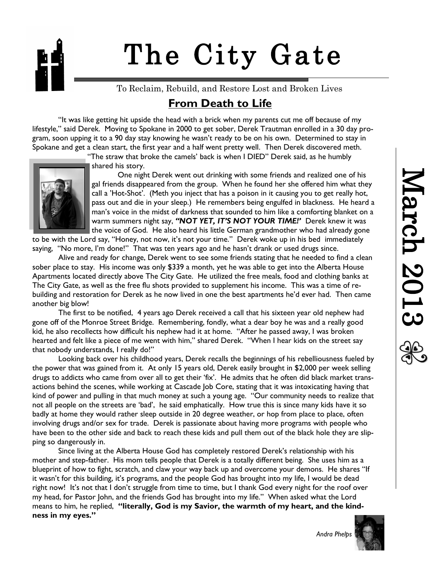# The City Gate

To Reclaim, Rebuild, and Restore Lost and Broken Lives

## **From Death to Life**

"It was like getting hit upside the head with a brick when my parents cut me off because of my lifestyle," said Derek. Moving to Spokane in 2000 to get sober, Derek Trautman enrolled in a 30 day program, soon upping it to a 90 day stay knowing he wasn't ready to be on his own. Determined to stay in Spokane and get a clean start, the first year and a half went pretty well. Then Derek discovered meth.

"The straw that broke the camels' back is when I DIED" Derek said, as he humbly



shared his story.

One night Derek went out drinking with some friends and realized one of his gal friends disappeared from the group. When he found her she offered him what they call a 'Hot-Shot'. (Meth you inject that has a poison in it causing you to get really hot, pass out and die in your sleep.) He remembers being engulfed in blackness. He heard a man's voice in the midst of darkness that sounded to him like a comforting blanket on a warm summers night say, *"NOT YET, IT'S NOT YOUR TIME!'* Derek knew it was the voice of God. He also heard his little German grandmother who had already gone

to be with the Lord say, "Honey, not now, it's not your time." Derek woke up in his bed immediately saying, "No more, I'm done!" That was ten years ago and he hasn't drank or used drugs since.

Alive and ready for change, Derek went to see some friends stating that he needed to find a clean sober place to stay. His income was only \$339 a month, yet he was able to get into the Alberta House Apartments located directly above The City Gate. He utilized the free meals, food and clothing banks at The City Gate, as well as the free flu shots provided to supplement his income. This was a time of rebuilding and restoration for Derek as he now lived in one the best apartments he'd ever had. Then came another big blow!

The first to be notified, 4 years ago Derek received a call that his sixteen year old nephew had gone off of the Monroe Street Bridge. Remembering, fondly, what a dear boy he was and a really good kid, he also recollects how difficult his nephew had it at home. "After he passed away, I was broken hearted and felt like a piece of me went with him," shared Derek. "When I hear kids on the street say that nobody understands, I really do!"

Looking back over his childhood years, Derek recalls the beginnings of his rebelliousness fueled by the power that was gained from it. At only 15 years old, Derek easily brought in \$2,000 per week selling drugs to addicts who came from over all to get their 'fix'. He admits that he often did black market transactions behind the scenes, while working at Cascade Job Core, stating that it was intoxicating having that kind of power and pulling in that much money at such a young age. "Our community needs to realize that not all people on the streets are 'bad', he said emphatically. How true this is since many kids have it so badly at home they would rather sleep outside in 20 degree weather, or hop from place to place, often involving drugs and/or sex for trade. Derek is passionate about having more programs with people who have been to the other side and back to reach these kids and pull them out of the black hole they are slipping so dangerously in.

Since living at the Alberta House God has completely restored Derek's relationship with his mother and step-father. His mom tells people that Derek is a totally different being. She uses him as a blueprint of how to fight, scratch, and claw your way back up and overcome your demons. He shares "If it wasn't for this building, it's programs, and the people God has brought into my life, I would be dead right now! It's not that I don't struggle from time to time, but I thank God every night for the roof over my head, for Pastor John, and the friends God has brought into my life." When asked what the Lord means to him, he replied, **"literally, God is my Savior, the warmth of my heart, and the kindness in my eyes."**

 *Andra Phelps*

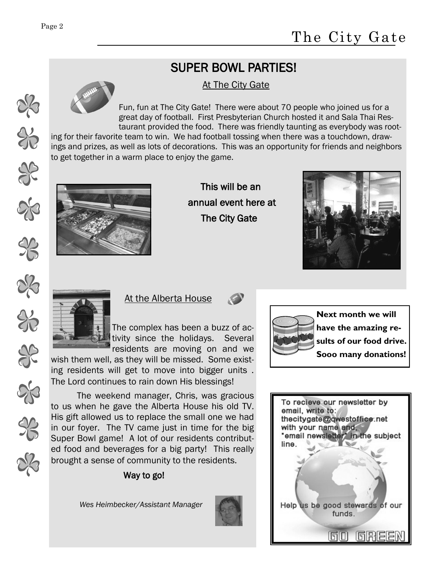$\frac{1}{6}$ 

 $\frac{1}{2}$ 

## SUPER BOWL PARTIES!

#### At The City Gate

Fun, fun at The City Gate! There were about 70 people who joined us for a great day of football. First Presbyterian Church hosted it and Sala Thai Restaurant provided the food. There was friendly taunting as everybody was root-

ing for their favorite team to win. We had football tossing when there was a touchdown, drawings and prizes, as well as lots of decorations. This was an opportunity for friends and neighbors to get together in a warm place to enjoy the game.



 This will be an annual event here at The City Gate





At the Alberta House

The complex has been a buzz of activity since the holidays. Several residents are moving on and we

wish them well, as they will be missed. Some existing residents will get to move into bigger units . The Lord continues to rain down His blessings!



**Next month we will have the amazing results of our food drive. Sooo many donations!**

The weekend manager, Chris, was gracious to us when he gave the Alberta House his old TV. His gift allowed us to replace the small one we had in our foyer. The TV came just in time for the big Super Bowl game! A lot of our residents contributed food and beverages for a big party! This really brought a sense of community to the residents.

### Way to go!

 *Wes Heimbecker/Assistant Manager*



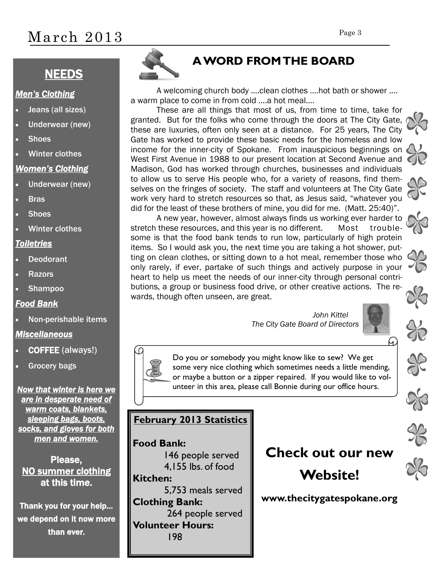# March 2013

## **NEEDS**

#### *Men's Clothing*

- Jeans (all sizes)
- Underwear (new)
- **Shoes**
- Winter clothes

#### *Women's Clothing*

- Underwear (new)
- **Bras**
- **Shoes**
- Winter clothes

#### *Toiletries*

- Deodorant
- **Razors**
- Shampoo

#### *Food Bank*

Non-perishable items

#### *Miscellaneous*

- COFFEE (always!)
- Grocery bags

*Now that winter is here we are in desperate need of warm coats, blankets, sleeping bags, boots, socks, and gloves for both men and women.* 

Please, NO summer clothing at this time.

Thank you for your help… we depend on it now more than ever.



## **A WORD FROM THE BOARD**

A welcoming church body ….clean clothes ….hot bath or shower …. a warm place to come in from cold ….a hot meal….

These are all things that most of us, from time to time, take for granted. But for the folks who come through the doors at The City Gate, these are luxuries, often only seen at a distance. For 25 years, The City Gate has worked to provide these basic needs for the homeless and low income for the inner-city of Spokane. From inauspicious beginnings on West First Avenue in 1988 to our present location at Second Avenue and Madison, God has worked through churches, businesses and individuals to allow us to serve His people who, for a variety of reasons, find themselves on the fringes of society. The staff and volunteers at The City Gate work very hard to stretch resources so that, as Jesus said, "whatever you did for the least of these brothers of mine, you did for me. (Matt. 25:40)".

A new year, however, almost always finds us working ever harder to stretch these resources, and this year is no different. Most troublesome is that the food bank tends to run low, particularly of high protein items. So I would ask you, the next time you are taking a hot shower, putting on clean clothes, or sitting down to a hot meal, remember those who only rarely, if ever, partake of such things and actively purpose in your heart to help us meet the needs of our inner-city through personal contributions, a group or business food drive, or other creative actions. The rewards, though often unseen, are great.

> *John Kittel The City Gate Board of Directors*





Do you or somebody you might know like to sew? We get some very nice clothing which sometimes needs a little mending, or maybe a button or a zipper repaired. If you would like to volunteer in this area, please call Bonnie during our office hours.

## **February 2013 Statistics**

#### **Food Bank:**

146 people served 4,155 lbs. of food **Kitchen:** 5,753 meals served **Clothing Bank:** 264 people served **Volunteer Hours:** 198

## **Check out our new Website!**

#### **www.thecitygatespokane.org**